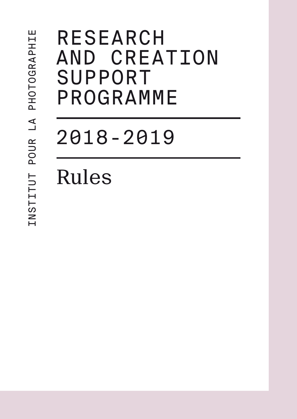# **RESEARCH** and creation **SUPPORT** programme

2018-2019

Rules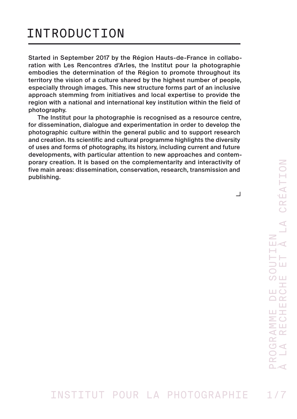# INTRODUCTION

Started in September 2017 by the Région Hauts-de-France in collaboration with Les Rencontres d'Arles, the Institut pour la photographie embodies the determination of the Région to promote throughout its territory the vision of a culture shared by the highest number of people, especially through images. This new structure forms part of an inclusive approach stemming from initiatives and local expertise to provide the region with a national and international key institution within the field of photography.

The Institut pour la photographie is recognised as a resource centre, for dissemination, dialogue and experimentation in order to develop the photographic culture within the general public and to support research and creation. Its scientific and cultural programme highlights the diversity of uses and forms of photography, its history, including current and future developments, with particular attention to new approaches and contemporary creation. It is based on the complementarity and interactivity of five main areas: dissemination, conservation, research, transmission and publishing.

 $\Box$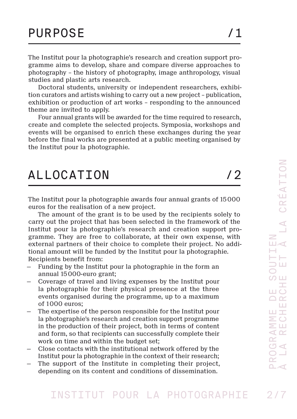The Institut pour la photographie's research and creation support programme aims to develop, share and compare diverse approaches to photography – the history of photography, image anthropology, visual studies and plastic arts research.

Doctoral students, university or independent researchers, exhibition curators and artists wishing to carry out a new project – publication, exhibition or production of art works – responding to the announced theme are invited to apply.

Four annual grants will be awarded for the time required to research, create and complete the selected projects. Symposia, workshops and events will be organised to enrich these exchanges during the year before the final works are presented at a public meeting organised by the Institut pour la photographie.

# ALLOCATION /2

The Institut pour la photographie awards four annual grants of 15000 euros for the realisation of a new project.

The amount of the grant is to be used by the recipients solely to carry out the project that has been selected in the framework of the Institut pour la photographie's research and creation support programme. They are free to collaborate, at their own expense, with external partners of their choice to complete their project. No additional amount will be funded by the Institut pour la photographie. Recipients benefit from:

- Funding by the Institut pour la photographie in the form an annual 15000-euro grant;
- Coverage of travel and living expenses by the Institut pour la photographie for their physical presence at the three events organised during the programme, up to a maximum of 1000 euros;
- The expertise of the person responsible for the Institut pour la photographie's research and creation support programme in the production of their project, both in terms of content and form, so that recipients can successfully complete their work on time and within the budget set;
- Close contacts with the institutional network offered by the Institut pour la photographie in the context of their research;
- The support of the Institute in completing their project, depending on its content and conditions of dissemination.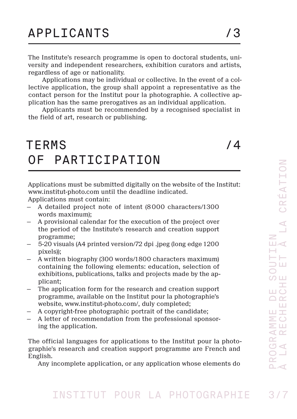The Institute's research programme is open to doctoral students, university and independent researchers, exhibition curators and artists, regardless of age or nationality.

Applications may be individual or collective. In the event of a collective application, the group shall appoint a representative as the contact person for the Institut pour la photographie. A collective application has the same prerogatives as an individual application.

Applicants must be recommended by a recognised specialist in the field of art, research or publishing.

# TERMS / 4 OF PARTICIPATION

Applications must be submitted digitally on the website of the Institut: [www.institut-photo.com](https://www.institut-photo.com/en/application-form/) until the deadline indicated.

Applications must contain:

- A detailed project note of intent (8000 characters/1300 words maximum);
- A provisional calendar for the execution of the project over the period of the Institute's research and creation support programme;
- 5-20 visuals (A4 printed version/72 dpi .jpeg (long edge 1200 pixels));
- A written biography (300 words/1800 characters maximum) containing the following elements: education, selection of exhibitions, publications, talks and projects made by the applicant;
- The application form for the research and creation support programme, available on the Institut pour la photographie's website, www.institut-photo.com/, duly completed;
- A copyright-free photographic portrait of the candidate;
- A letter of recommendation from the professional sponsoring the application.

The official languages for applications to the Institut pour la photographie's research and creation support programme are French and English.

Any incomplete application, or any application whose elements do

#### INSTITUT POUR LA PHOTOGRAPHIE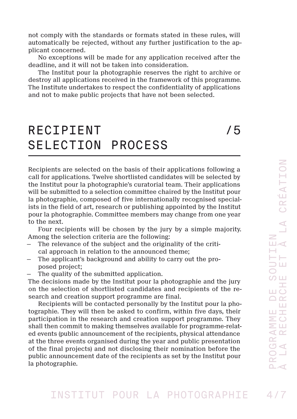not comply with the standards or formats stated in these rules, will automatically be rejected, without any further justification to the applicant concerned.

No exceptions will be made for any application received after the deadline, and it will not be taken into consideration.

The Institut pour la photographie reserves the right to archive or destroy all applications received in the framework of this programme. The Institute undertakes to respect the confidentiality of applications and not to make public projects that have not been selected.

# RECIPIENT /5 SELECTION PROCESS

Recipients are selected on the basis of their applications following a call for applications. Twelve shortlisted candidates will be selected by the Institut pour la photographie's curatorial team. Their applications will be submitted to a selection committee chaired by the Institut pour la photographie, composed of five internationally recognised specialists in the field of art, research or publishing appointed by the Institut pour la photographie. Committee members may change from one year to the next.

Four recipients will be chosen by the jury by a simple majority. Among the selection criteria are the following:

- The relevance of the subject and the originality of the critical approach in relation to the announced theme;
- The applicant's background and ability to carry out the proposed project;
- The quality of the submitted application.

The decisions made by the Institut pour la photographie and the jury on the selection of shortlisted candidates and recipients of the research and creation support programme are final.

Recipients will be contacted personally by the Institut pour la photographie. They will then be asked to confirm, within five days, their participation in the research and creation support programme. They shall then commit to making themselves available for programme-related events (public announcement of the recipients, physical attendance at the three events organised during the year and public presentation of the final projects) and not disclosing their nomination before the public announcement date of the recipients as set by the Institut pour la photographie.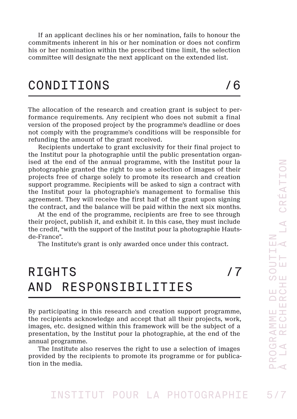If an applicant declines his or her nomination, fails to honour the commitments inherent in his or her nomination or does not confirm his or her nomination within the prescribed time limit, the selection committee will designate the next applicant on the extended list.

#### CONDITIONS /6

The allocation of the research and creation grant is subject to performance requirements. Any recipient who does not submit a final version of the proposed project by the programme's deadline or does not comply with the programme's conditions will be responsible for refunding the amount of the grant received.

Recipients undertake to grant exclusivity for their final project to the Institut pour la photographie until the public presentation organised at the end of the annual programme, with the Institut pour la photographie granted the right to use a selection of images of their projects free of charge solely to promote its research and creation support programme. Recipients will be asked to sign a contract with the Institut pour la photographie's management to formalise this agreement. They will receive the first half of the grant upon signing the contract, and the balance will be paid within the next six months.

At the end of the programme, recipients are free to see through their project, publish it, and exhibit it. In this case, they must include the credit, "with the support of the Institut pour la photographie Hautsde-France".

The Institute's grant is only awarded once under this contract.

### RIGHTS /7 AND RESPONSIBILITIES

By participating in this research and creation support programme, the recipients acknowledge and accept that all their projects, work, images, etc. designed within this framework will be the subject of a presentation, by the Institut pour la photographie, at the end of the annual programme.

The Institute also reserves the right to use a selection of images provided by the recipients to promote its programme or for publication in the media.

#### INSTITUT POUR LA PHOTOGRAPHIE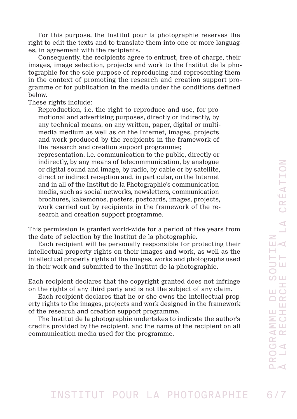For this purpose, the Institut pour la photographie reserves the right to edit the texts and to translate them into one or more languages, in agreement with the recipients.

Consequently, the recipients agree to entrust, free of charge, their images, image selection, projects and work to the Institut de la photographie for the sole purpose of reproducing and representing them in the context of promoting the research and creation support programme or for publication in the media under the conditions defined below.

These rights include:

- Reproduction, i.e. the right to reproduce and use, for promotional and advertising purposes, directly or indirectly, by any technical means, on any written, paper, digital or multimedia medium as well as on the Internet, images, projects and work produced by the recipients in the framework of the research and creation support programme;
- representation, i.e. communication to the public, directly or indirectly, by any means of telecommunication, by analogue or digital sound and image, by radio, by cable or by satellite, direct or indirect reception and, in particular, on the Internet and in all of the Institut de la Photographie's communication media, such as social networks, newsletters, communication brochures, kakemonos, posters, postcards, images, projects, work carried out by recipients in the framework of the research and creation support programme.

This permission is granted world-wide for a period of five years from the date of selection by the Institut de la photographie.

Each recipient will be personally responsible for protecting their intellectual property rights on their images and work, as well as the intellectual property rights of the images, works and photographs used in their work and submitted to the Institut de la photographie.

Each recipient declares that the copyright granted does not infringe on the rights of any third party and is not the subject of any claim.

Each recipient declares that he or she owns the intellectual property rights to the images, projects and work designed in the framework of the research and creation support programme.

The Institut de la photographie undertakes to indicate the author's credits provided by the recipient, and the name of the recipient on all communication media used for the programme.